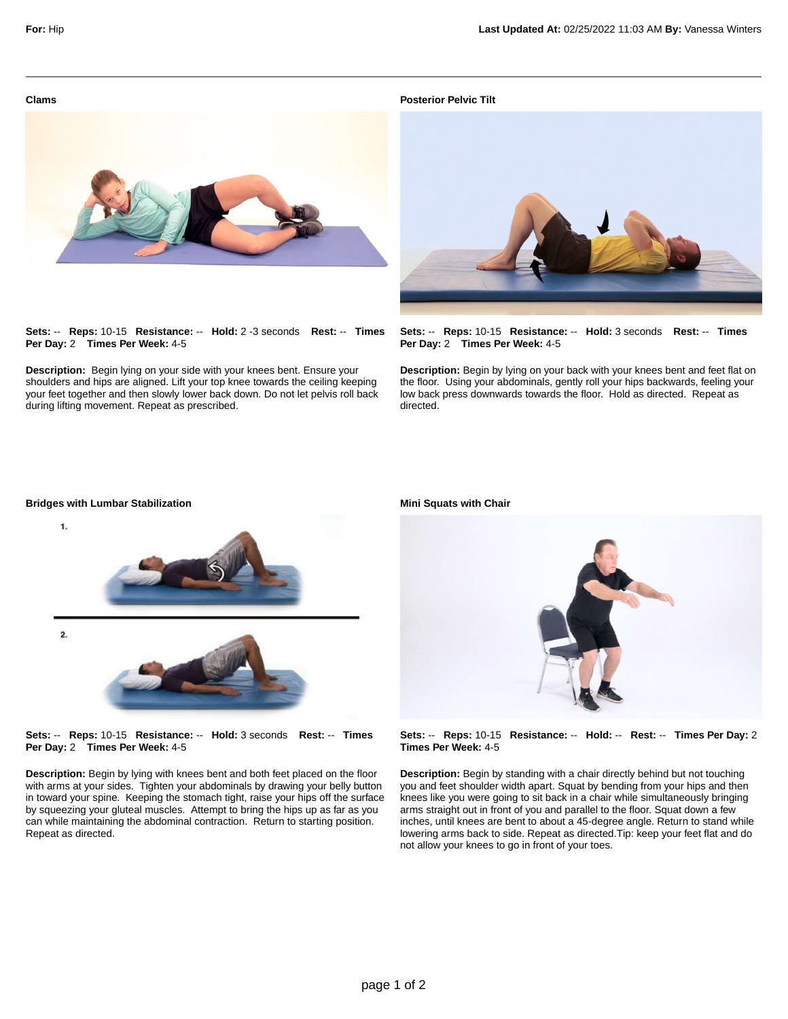**Clams**

**Posterior Pelvic Tilt**



**Sets:** -- **Reps:** 10-15 **Resistance:** -- **Hold:** 2 -3 seconds **Rest:** -- **Times Per Day:** 2 **Times Per Week:** 4-5

**Description:** Begin lying on your side with your knees bent. Ensure your shoulders and hips are aligned. Lift your top knee towards the ceiling keeping your feet together and then slowly lower back down. Do not let pelvis roll back during lifting movement. Repeat as prescribed.



**Sets:** -- **Reps:** 10-15 **Resistance:** -- **Hold:** 3 seconds **Rest:** -- **Times Per Day:** 2 **Times Per Week:** 4-5

**Description:** Begin by lying on your back with your knees bent and feet flat on the floor. Using your abdominals, gently roll your hips backwards, feeling your low back press downwards towards the floor. Hold as directed. Repeat as directed.



**Sets:** -- **Reps:** 10-15 **Resistance:** -- **Hold:** 3 seconds **Rest:** -- **Times Per Day:** 2 **Times Per Week:** 4-5

**Description:** Begin by lying with knees bent and both feet placed on the floor with arms at your sides. Tighten your abdominals by drawing your belly button in toward your spine. Keeping the stomach tight, raise your hips off the surface by squeezing your gluteal muscles. Attempt to bring the hips up as far as you can while maintaining the abdominal contraction. Return to starting position. Repeat as directed.

**Mini Squats with Chair**



**Sets:** -- **Reps:** 10-15 **Resistance:** -- **Hold:** -- **Rest:** -- **Times Per Day:** 2 **Times Per Week:** 4-5

**Description:** Begin by standing with a chair directly behind but not touching you and feet shoulder width apart. Squat by bending from your hips and then knees like you were going to sit back in a chair while simultaneously bringing arms straight out in front of you and parallel to the floor. Squat down a few inches, until knees are bent to about a 45-degree angle. Return to stand while lowering arms back to side. Repeat as directed.Tip: keep your feet flat and do not allow your knees to go in front of your toes.